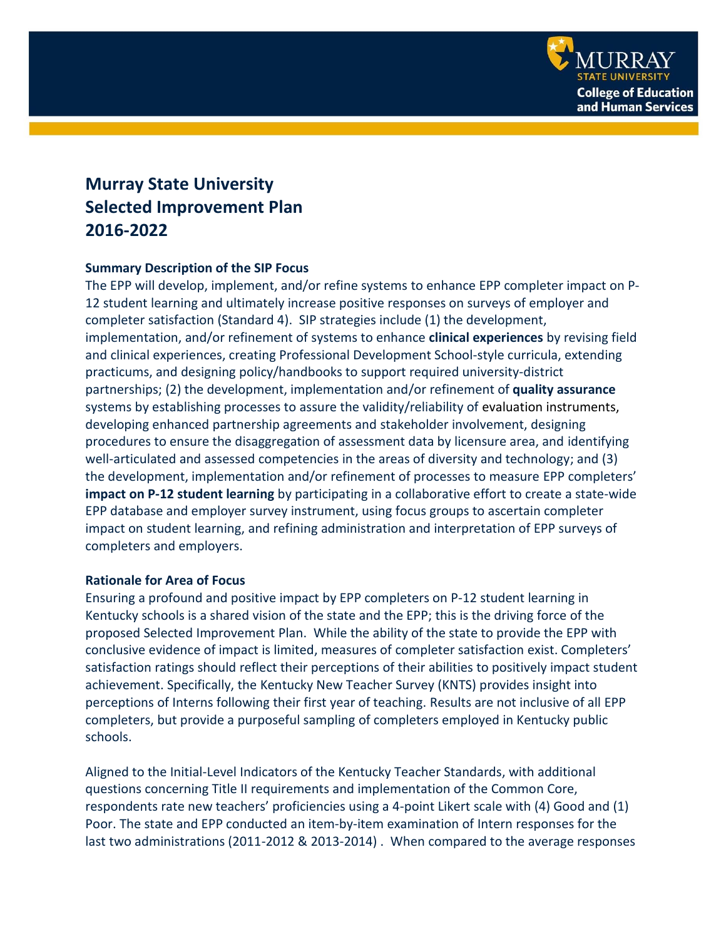

# **Murray State University Selected Improvement Plan 2016-2022**

#### **Summary Description of the SIP Focus**

The EPP will develop, implement, and/or refine systems to enhance EPP completer impact on P-12 student learning and ultimately increase positive responses on surveys of employer and completer satisfaction (Standard 4). SIP strategies include (1) the development, implementation, and/or refinement of systems to enhance **clinical experiences** by revising field and clinical experiences, creating Professional Development School-style curricula, extending practicums, and designing policy/handbooks to support required university-district partnerships; (2) the development, implementation and/or refinement of **quality assurance** systems by establishing processes to assure the validity/reliability of evaluation instruments, developing enhanced partnership agreements and stakeholder involvement, designing procedures to ensure the disaggregation of assessment data by licensure area, and identifying well-articulated and assessed competencies in the areas of diversity and technology; and (3) the development, implementation and/or refinement of processes to measure EPP completers' **impact on P-12 student learning** by participating in a collaborative effort to create a state-wide EPP database and employer survey instrument, using focus groups to ascertain completer impact on student learning, and refining administration and interpretation of EPP surveys of completers and employers.

#### **Rationale for Area of Focus**

Ensuring a profound and positive impact by EPP completers on P-12 student learning in Kentucky schools is a shared vision of the state and the EPP; this is the driving force of the proposed Selected Improvement Plan. While the ability of the state to provide the EPP with conclusive evidence of impact is limited, measures of completer satisfaction exist. Completers' satisfaction ratings should reflect their perceptions of their abilities to positively impact student achievement. Specifically, the Kentucky New Teacher Survey (KNTS) provides insight into perceptions of Interns following their first year of teaching. Results are not inclusive of all EPP completers, but provide a purposeful sampling of completers employed in Kentucky public schools.

Aligned to the Initial-Level Indicators of the Kentucky Teacher Standards, with additional questions concerning Title II requirements and implementation of the Common Core, respondents rate new teachers' proficiencies using a 4-point Likert scale with (4) Good and (1) Poor. The state and EPP conducted an item-by-item examination of Intern responses for the last two administrations (2011-2012 & 2013-2014) . When compared to the average responses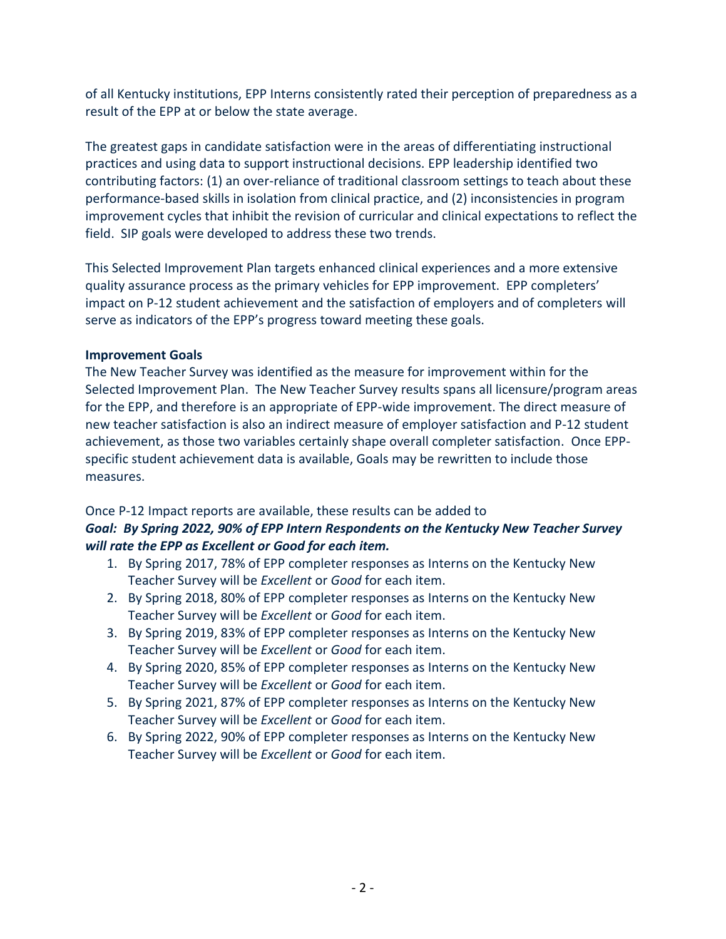of all Kentucky institutions, EPP Interns consistently rated their perception of preparedness as a result of the EPP at or below the state average.

The greatest gaps in candidate satisfaction were in the areas of differentiating instructional practices and using data to support instructional decisions. EPP leadership identified two contributing factors: (1) an over-reliance of traditional classroom settings to teach about these performance-based skills in isolation from clinical practice, and (2) inconsistencies in program improvement cycles that inhibit the revision of curricular and clinical expectations to reflect the field. SIP goals were developed to address these two trends.

This Selected Improvement Plan targets enhanced clinical experiences and a more extensive quality assurance process as the primary vehicles for EPP improvement. EPP completers' impact on P-12 student achievement and the satisfaction of employers and of completers will serve as indicators of the EPP's progress toward meeting these goals.

#### **Improvement Goals**

The New Teacher Survey was identified as the measure for improvement within for the Selected Improvement Plan. The New Teacher Survey results spans all licensure/program areas for the EPP, and therefore is an appropriate of EPP-wide improvement. The direct measure of new teacher satisfaction is also an indirect measure of employer satisfaction and P-12 student achievement, as those two variables certainly shape overall completer satisfaction. Once EPPspecific student achievement data is available, Goals may be rewritten to include those measures.

### Once P-12 Impact reports are available, these results can be added to

## *Goal: By Spring 2022, 90% of EPP Intern Respondents on the Kentucky New Teacher Survey will rate the EPP as Excellent or Good for each item.*

- 1. By Spring 2017, 78% of EPP completer responses as Interns on the Kentucky New Teacher Survey will be *Excellent* or *Good* for each item.
- 2. By Spring 2018, 80% of EPP completer responses as Interns on the Kentucky New Teacher Survey will be *Excellent* or *Good* for each item.
- 3. By Spring 2019, 83% of EPP completer responses as Interns on the Kentucky New Teacher Survey will be *Excellent* or *Good* for each item.
- 4. By Spring 2020, 85% of EPP completer responses as Interns on the Kentucky New Teacher Survey will be *Excellent* or *Good* for each item.
- 5. By Spring 2021, 87% of EPP completer responses as Interns on the Kentucky New Teacher Survey will be *Excellent* or *Good* for each item.
- 6. By Spring 2022, 90% of EPP completer responses as Interns on the Kentucky New Teacher Survey will be *Excellent* or *Good* for each item.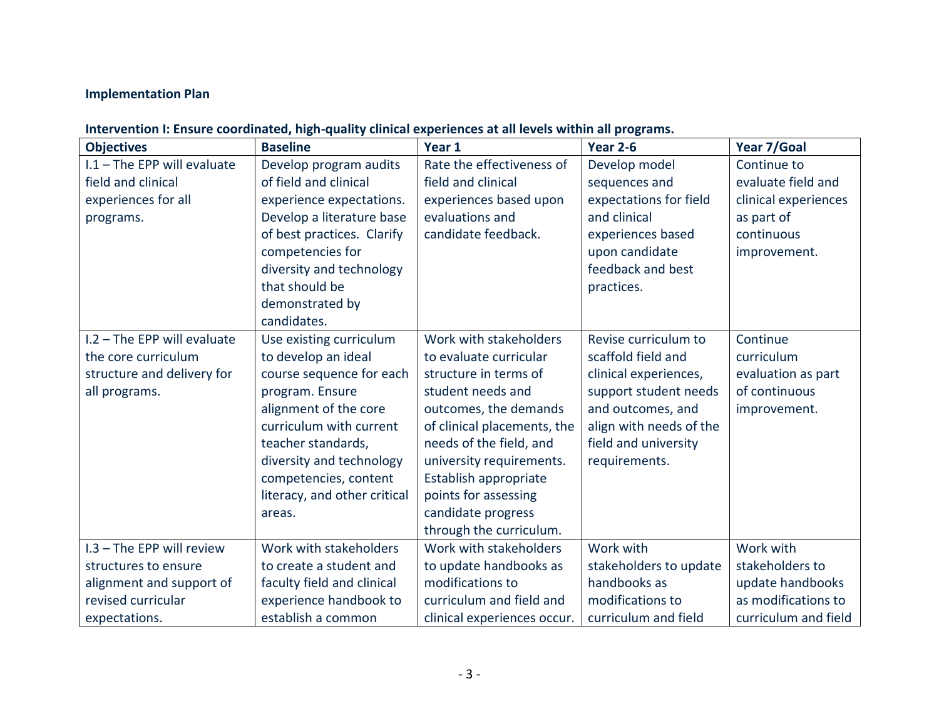## **Implementation Plan**

## **Intervention I: Ensure coordinated, high-quality clinical experiences at all levels within all programs.**

| <b>Objectives</b>           | <b>Baseline</b>              | Year 1                      | Year 2-6                | Year 7/Goal          |
|-----------------------------|------------------------------|-----------------------------|-------------------------|----------------------|
| I.1 - The EPP will evaluate | Develop program audits       | Rate the effectiveness of   | Develop model           | Continue to          |
| field and clinical          | of field and clinical        | field and clinical          | sequences and           | evaluate field and   |
| experiences for all         | experience expectations.     | experiences based upon      | expectations for field  | clinical experiences |
| programs.                   | Develop a literature base    | evaluations and             | and clinical            | as part of           |
|                             | of best practices. Clarify   | candidate feedback.         | experiences based       | continuous           |
|                             | competencies for             |                             | upon candidate          | improvement.         |
|                             | diversity and technology     |                             | feedback and best       |                      |
|                             | that should be               |                             | practices.              |                      |
|                             | demonstrated by              |                             |                         |                      |
|                             | candidates.                  |                             |                         |                      |
| I.2 - The EPP will evaluate | Use existing curriculum      | Work with stakeholders      | Revise curriculum to    | Continue             |
| the core curriculum         | to develop an ideal          | to evaluate curricular      | scaffold field and      | curriculum           |
| structure and delivery for  | course sequence for each     | structure in terms of       | clinical experiences,   | evaluation as part   |
| all programs.               | program. Ensure              | student needs and           | support student needs   | of continuous        |
|                             | alignment of the core        | outcomes, the demands       | and outcomes, and       | improvement.         |
|                             | curriculum with current      | of clinical placements, the | align with needs of the |                      |
|                             | teacher standards,           | needs of the field, and     | field and university    |                      |
|                             | diversity and technology     | university requirements.    | requirements.           |                      |
|                             | competencies, content        | Establish appropriate       |                         |                      |
|                             | literacy, and other critical | points for assessing        |                         |                      |
|                             | areas.                       | candidate progress          |                         |                      |
|                             |                              | through the curriculum.     |                         |                      |
| I.3 - The EPP will review   | Work with stakeholders       | Work with stakeholders      | Work with               | Work with            |
| structures to ensure        | to create a student and      | to update handbooks as      | stakeholders to update  | stakeholders to      |
| alignment and support of    | faculty field and clinical   | modifications to            | handbooks as            | update handbooks     |
| revised curricular          | experience handbook to       | curriculum and field and    | modifications to        | as modifications to  |
| expectations.               | establish a common           | clinical experiences occur. | curriculum and field    | curriculum and field |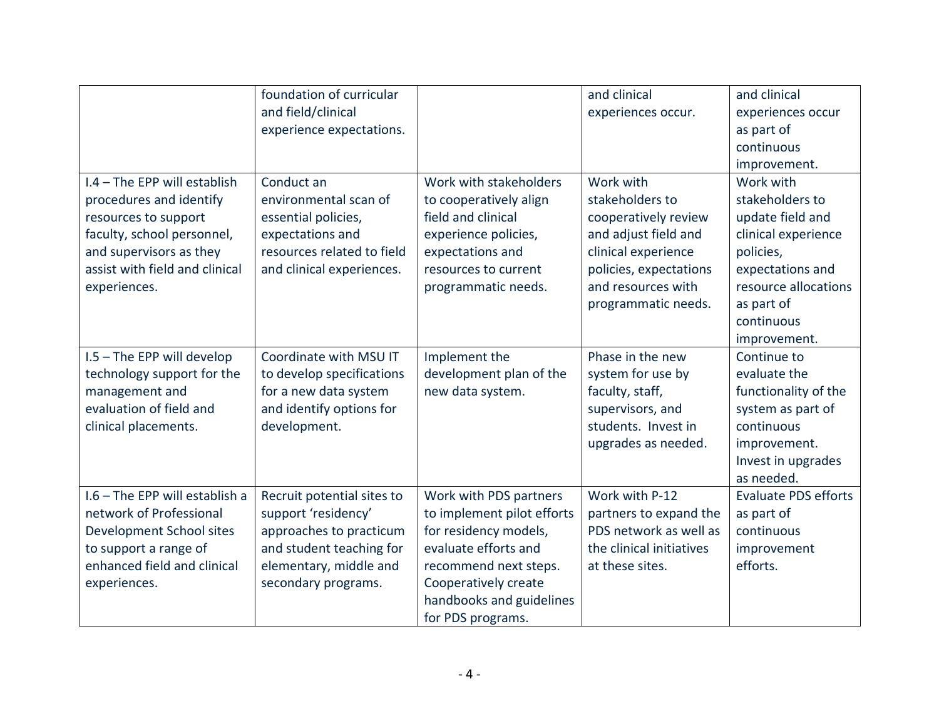|                                | foundation of curricular   |                            | and clinical             | and clinical                |
|--------------------------------|----------------------------|----------------------------|--------------------------|-----------------------------|
|                                | and field/clinical         |                            | experiences occur.       | experiences occur           |
|                                | experience expectations.   |                            |                          | as part of                  |
|                                |                            |                            |                          | continuous                  |
|                                |                            |                            |                          | improvement.                |
| I.4 - The EPP will establish   | Conduct an                 | Work with stakeholders     | Work with                | Work with                   |
| procedures and identify        | environmental scan of      | to cooperatively align     | stakeholders to          | stakeholders to             |
| resources to support           | essential policies,        | field and clinical         | cooperatively review     | update field and            |
| faculty, school personnel,     | expectations and           | experience policies,       | and adjust field and     | clinical experience         |
| and supervisors as they        | resources related to field | expectations and           | clinical experience      | policies,                   |
| assist with field and clinical | and clinical experiences.  | resources to current       | policies, expectations   | expectations and            |
| experiences.                   |                            | programmatic needs.        | and resources with       | resource allocations        |
|                                |                            |                            | programmatic needs.      | as part of                  |
|                                |                            |                            |                          | continuous                  |
|                                |                            |                            |                          | improvement.                |
| I.5 - The EPP will develop     | Coordinate with MSU IT     | Implement the              | Phase in the new         | Continue to                 |
| technology support for the     | to develop specifications  | development plan of the    | system for use by        | evaluate the                |
| management and                 | for a new data system      | new data system.           | faculty, staff,          | functionality of the        |
| evaluation of field and        | and identify options for   |                            | supervisors, and         | system as part of           |
| clinical placements.           | development.               |                            | students. Invest in      | continuous                  |
|                                |                            |                            | upgrades as needed.      | improvement.                |
|                                |                            |                            |                          | Invest in upgrades          |
|                                |                            |                            |                          | as needed.                  |
| I.6 - The EPP will establish a | Recruit potential sites to | Work with PDS partners     | Work with P-12           | <b>Evaluate PDS efforts</b> |
| network of Professional        | support 'residency'        | to implement pilot efforts | partners to expand the   | as part of                  |
| Development School sites       | approaches to practicum    | for residency models,      | PDS network as well as   | continuous                  |
| to support a range of          | and student teaching for   | evaluate efforts and       | the clinical initiatives | improvement                 |
| enhanced field and clinical    | elementary, middle and     | recommend next steps.      | at these sites.          | efforts.                    |
| experiences.                   | secondary programs.        | Cooperatively create       |                          |                             |
|                                |                            | handbooks and guidelines   |                          |                             |
|                                |                            | for PDS programs.          |                          |                             |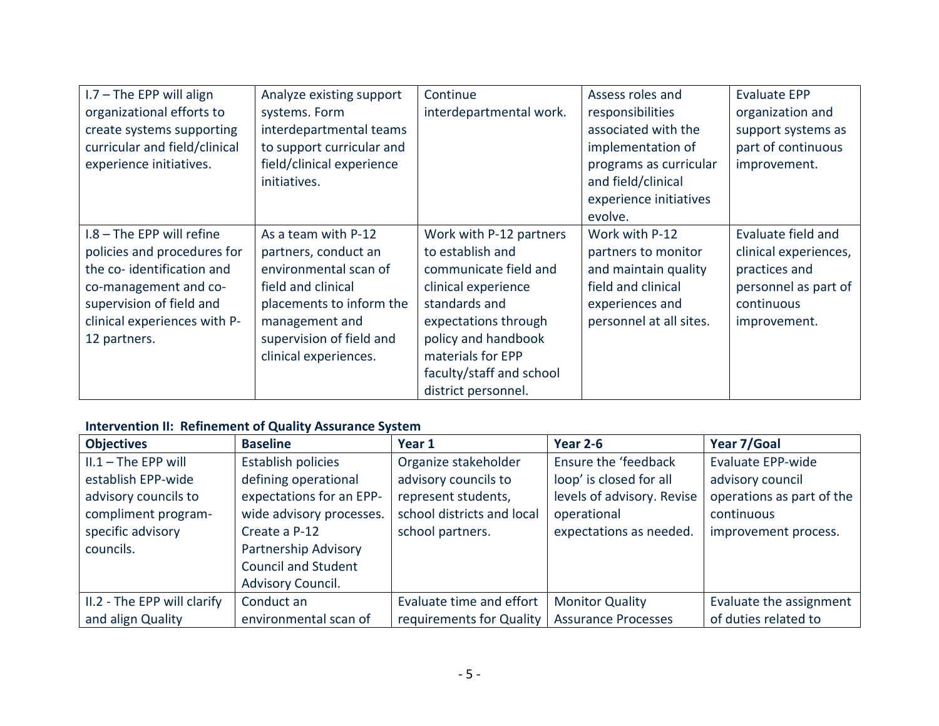| $1.7 - The EPP will align$    | Analyze existing support  | Continue                 | Assess roles and        | <b>Evaluate EPP</b>   |
|-------------------------------|---------------------------|--------------------------|-------------------------|-----------------------|
| organizational efforts to     | systems. Form             | interdepartmental work.  | responsibilities        | organization and      |
| create systems supporting     | interdepartmental teams   |                          | associated with the     | support systems as    |
| curricular and field/clinical | to support curricular and |                          | implementation of       | part of continuous    |
| experience initiatives.       | field/clinical experience |                          | programs as curricular  | improvement.          |
|                               | initiatives.              |                          | and field/clinical      |                       |
|                               |                           |                          | experience initiatives  |                       |
|                               |                           |                          | evolve.                 |                       |
| $1.8$ – The EPP will refine   | As a team with P-12       | Work with P-12 partners  | Work with P-12          | Evaluate field and    |
| policies and procedures for   | partners, conduct an      | to establish and         | partners to monitor     | clinical experiences, |
| the co-identification and     | environmental scan of     | communicate field and    | and maintain quality    | practices and         |
| co-management and co-         | field and clinical        | clinical experience      | field and clinical      | personnel as part of  |
| supervision of field and      | placements to inform the  | standards and            | experiences and         | continuous            |
| clinical experiences with P-  | management and            | expectations through     | personnel at all sites. | improvement.          |
| 12 partners.                  | supervision of field and  | policy and handbook      |                         |                       |
|                               | clinical experiences.     | materials for EPP        |                         |                       |
|                               |                           | faculty/staff and school |                         |                       |
|                               |                           | district personnel.      |                         |                       |

## **Intervention II: Refinement of Quality Assurance System**

| <b>Objectives</b>           | <b>Baseline</b>            | Year 1                     | <b>Year 2-6</b>            | Year 7/Goal               |
|-----------------------------|----------------------------|----------------------------|----------------------------|---------------------------|
| $II.1 - The EPP will$       | Establish policies         | Organize stakeholder       | Ensure the 'feedback       | <b>Evaluate EPP-wide</b>  |
| establish EPP-wide          | defining operational       | advisory councils to       | loop' is closed for all    | advisory council          |
| advisory councils to        | expectations for an EPP-   | represent students,        | levels of advisory. Revise | operations as part of the |
| compliment program-         | wide advisory processes.   | school districts and local | operational                | continuous                |
| specific advisory           | Create a P-12              | school partners.           | expectations as needed.    | improvement process.      |
| councils.                   | Partnership Advisory       |                            |                            |                           |
|                             | <b>Council and Student</b> |                            |                            |                           |
|                             | Advisory Council.          |                            |                            |                           |
| II.2 - The EPP will clarify | Conduct an                 | Evaluate time and effort   | <b>Monitor Quality</b>     | Evaluate the assignment   |
| and align Quality           | environmental scan of      | requirements for Quality   | <b>Assurance Processes</b> | of duties related to      |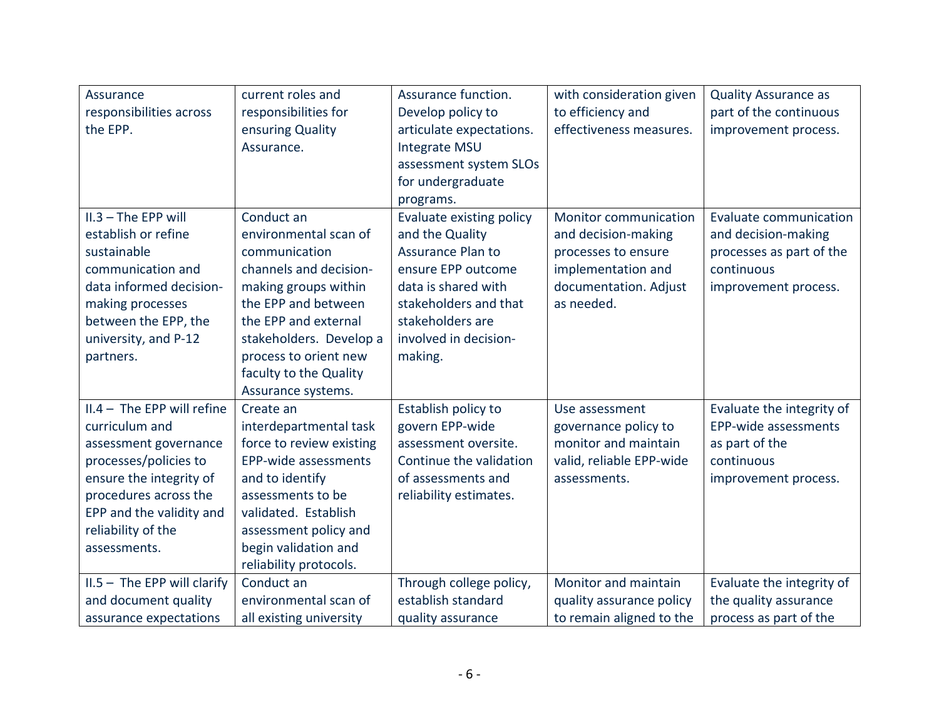| Assurance<br>responsibilities across<br>the EPP.                                                                                                                                                                       | current roles and<br>responsibilities for<br>ensuring Quality<br>Assurance.                                                                                                                                                                               | Assurance function.<br>Develop policy to<br>articulate expectations.<br>Integrate MSU<br>assessment system SLOs<br>for undergraduate<br>programs.                                                     | with consideration given<br>to efficiency and<br>effectiveness measures.                                                                | <b>Quality Assurance as</b><br>part of the continuous<br>improvement process.                                   |
|------------------------------------------------------------------------------------------------------------------------------------------------------------------------------------------------------------------------|-----------------------------------------------------------------------------------------------------------------------------------------------------------------------------------------------------------------------------------------------------------|-------------------------------------------------------------------------------------------------------------------------------------------------------------------------------------------------------|-----------------------------------------------------------------------------------------------------------------------------------------|-----------------------------------------------------------------------------------------------------------------|
| II.3 - The EPP will<br>establish or refine<br>sustainable<br>communication and<br>data informed decision-<br>making processes<br>between the EPP, the<br>university, and P-12<br>partners.                             | Conduct an<br>environmental scan of<br>communication<br>channels and decision-<br>making groups within<br>the EPP and between<br>the EPP and external<br>stakeholders. Develop a<br>process to orient new<br>faculty to the Quality<br>Assurance systems. | Evaluate existing policy<br>and the Quality<br><b>Assurance Plan to</b><br>ensure EPP outcome<br>data is shared with<br>stakeholders and that<br>stakeholders are<br>involved in decision-<br>making. | <b>Monitor communication</b><br>and decision-making<br>processes to ensure<br>implementation and<br>documentation. Adjust<br>as needed. | Evaluate communication<br>and decision-making<br>processes as part of the<br>continuous<br>improvement process. |
| $II.4 - The EPP will refine$<br>curriculum and<br>assessment governance<br>processes/policies to<br>ensure the integrity of<br>procedures across the<br>EPP and the validity and<br>reliability of the<br>assessments. | Create an<br>interdepartmental task<br>force to review existing<br>EPP-wide assessments<br>and to identify<br>assessments to be<br>validated. Establish<br>assessment policy and<br>begin validation and<br>reliability protocols.                        | Establish policy to<br>govern EPP-wide<br>assessment oversite.<br>Continue the validation<br>of assessments and<br>reliability estimates.                                                             | Use assessment<br>governance policy to<br>monitor and maintain<br>valid, reliable EPP-wide<br>assessments.                              | Evaluate the integrity of<br>EPP-wide assessments<br>as part of the<br>continuous<br>improvement process.       |
| $II.5 - The EPP will clarify$<br>and document quality<br>assurance expectations                                                                                                                                        | Conduct an<br>environmental scan of<br>all existing university                                                                                                                                                                                            | Through college policy,<br>establish standard<br>quality assurance                                                                                                                                    | Monitor and maintain<br>quality assurance policy<br>to remain aligned to the                                                            | Evaluate the integrity of<br>the quality assurance<br>process as part of the                                    |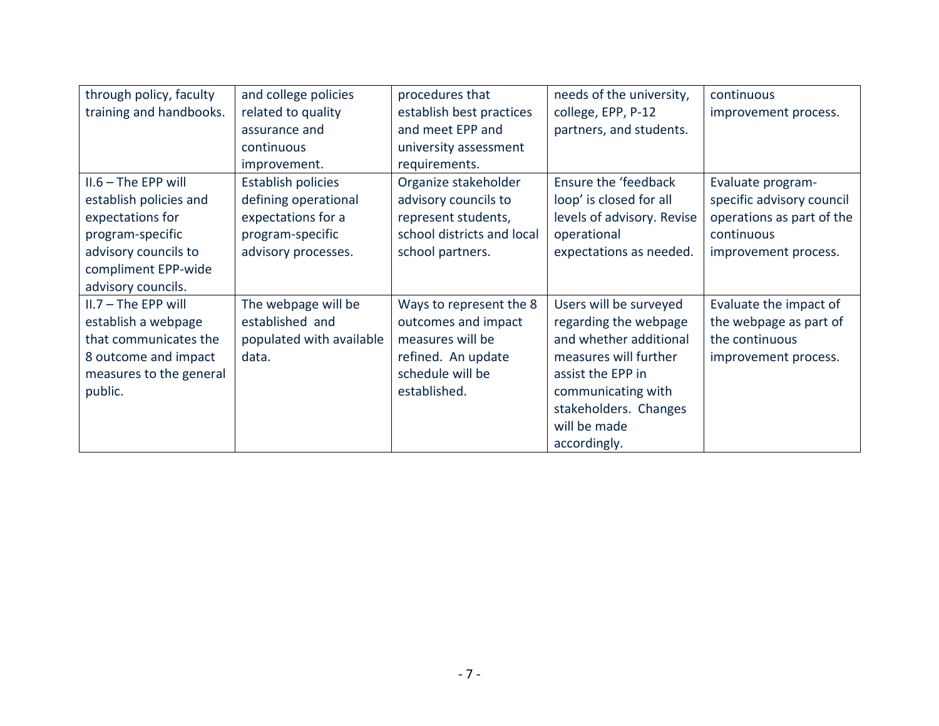| through policy, faculty | and college policies      | procedures that            | needs of the university,   | continuous                |
|-------------------------|---------------------------|----------------------------|----------------------------|---------------------------|
| training and handbooks. | related to quality        | establish best practices   | college, EPP, P-12         | improvement process.      |
|                         | assurance and             | and meet EPP and           | partners, and students.    |                           |
|                         | continuous                | university assessment      |                            |                           |
|                         | improvement.              | requirements.              |                            |                           |
| $II.6 - The EPP will$   | <b>Establish policies</b> | Organize stakeholder       | Ensure the 'feedback       | Evaluate program-         |
| establish policies and  | defining operational      | advisory councils to       | loop' is closed for all    | specific advisory council |
| expectations for        | expectations for a        | represent students,        | levels of advisory. Revise | operations as part of the |
| program-specific        | program-specific          | school districts and local | operational                | continuous                |
| advisory councils to    | advisory processes.       | school partners.           | expectations as needed.    | improvement process.      |
| compliment EPP-wide     |                           |                            |                            |                           |
| advisory councils.      |                           |                            |                            |                           |
| $II.7 - The EPP will$   | The webpage will be       | Ways to represent the 8    | Users will be surveyed     | Evaluate the impact of    |
| establish a webpage     | established and           | outcomes and impact        | regarding the webpage      | the webpage as part of    |
| that communicates the   | populated with available  | measures will be           | and whether additional     | the continuous            |
| 8 outcome and impact    | data.                     | refined. An update         | measures will further      | improvement process.      |
| measures to the general |                           | schedule will be           | assist the EPP in          |                           |
| public.                 |                           | established.               | communicating with         |                           |
|                         |                           |                            | stakeholders. Changes      |                           |
|                         |                           |                            | will be made               |                           |
|                         |                           |                            | accordingly.               |                           |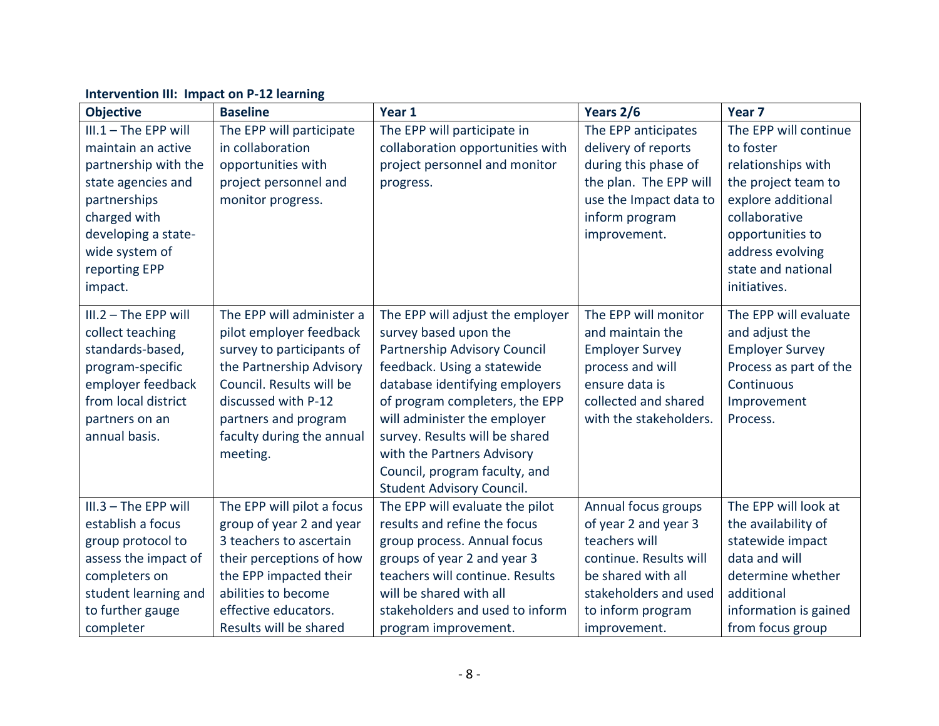#### **Objective Baseline Year 1 Years 2/6 Year 7** III.1 – The EPP will maintain an active partnership with the state agencies and partnerships charged with developing a statewide system of reporting EPP impact. The EPP will participate in collaboration opportunities with project personnel and monitor progress. The EPP will participate in collaboration opportunities with project personnel and monitor progress. The EPP anticipates delivery of reports during this phase of the plan. The EPP will use the Impact data to inform program improvement. The EPP will continue to foster relationships with the project team to explore additional collaborative opportunities to address evolving state and national initiatives. III.2 – The EPP will collect teaching standards-based, program-specific employer feedback from local district partners on an annual basis. The EPP will administer a pilot employer feedback survey to participants of the Partnership Advisory Council. Results will be discussed with P-12 partners and program faculty during the annual meeting. The EPP will adjust the employer survey based upon the Partnership Advisory Council feedback. Using a statewide database identifying employers of program completers, the EPP will administer the employer survey. Results will be shared with the Partners Advisory Council, program faculty, and Student Advisory Council. The EPP will monitor and maintain the Employer Survey process and will ensure data is collected and shared with the stakeholders. The EPP will evaluate and adjust the Employer Survey Process as part of the **Continuous** Improvement Process. III.3 – The EPP will establish a focus group protocol to assess the impact of completers on student learning and to further gauge completer The EPP will pilot a focus group of year 2 and year 3 teachers to ascertain their perceptions of how the EPP impacted their abilities to become effective educators. Results will be shared The EPP will evaluate the pilot results and refine the focus group process. Annual focus groups of year 2 and year 3 teachers will continue. Results will be shared with all stakeholders and used to inform program improvement. Annual focus groups of year 2 and year 3 teachers will continue. Results will be shared with all stakeholders and used to inform program improvement. The EPP will look at the availability of statewide impact data and will determine whether additional information is gained from focus group

#### **Intervention III: Impact on P-12 learning**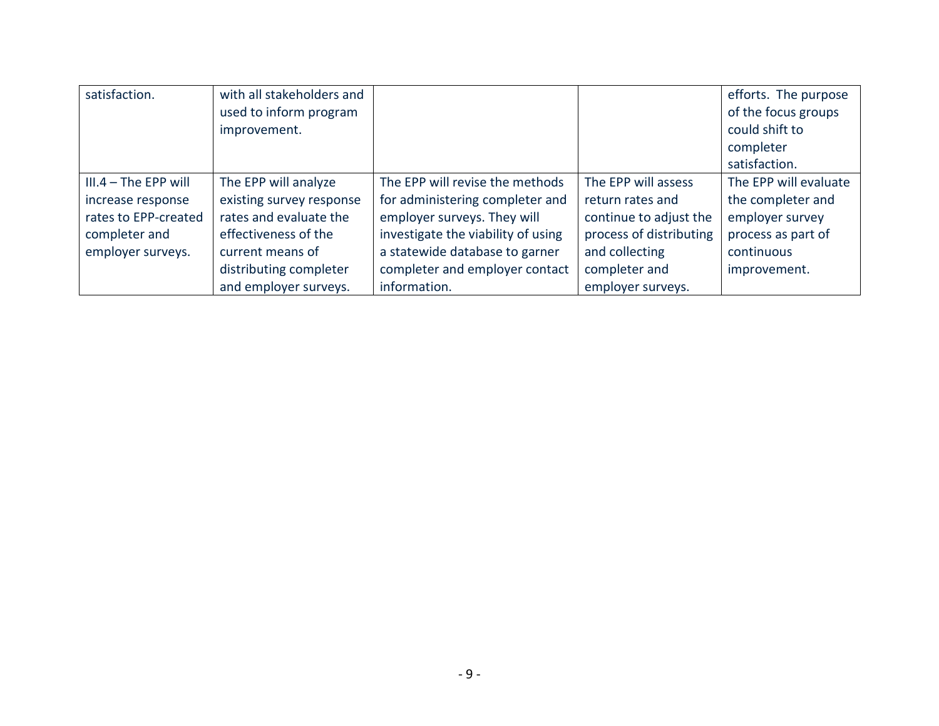| satisfaction.          | with all stakeholders and |                                    |                         | efforts. The purpose  |
|------------------------|---------------------------|------------------------------------|-------------------------|-----------------------|
|                        | used to inform program    |                                    |                         | of the focus groups   |
|                        | improvement.              |                                    |                         | could shift to        |
|                        |                           |                                    |                         | completer             |
|                        |                           |                                    |                         | satisfaction.         |
| $III.4 - The EPP will$ | The EPP will analyze      | The EPP will revise the methods    | The EPP will assess     | The EPP will evaluate |
| increase response      | existing survey response  | for administering completer and    | return rates and        | the completer and     |
| rates to EPP-created   | rates and evaluate the    | employer surveys. They will        | continue to adjust the  | employer survey       |
| completer and          | effectiveness of the      | investigate the viability of using | process of distributing | process as part of    |
| employer surveys.      | current means of          | a statewide database to garner     | and collecting          | continuous            |
|                        | distributing completer    | completer and employer contact     | completer and           | improvement.          |
|                        | and employer surveys.     | information.                       | employer surveys.       |                       |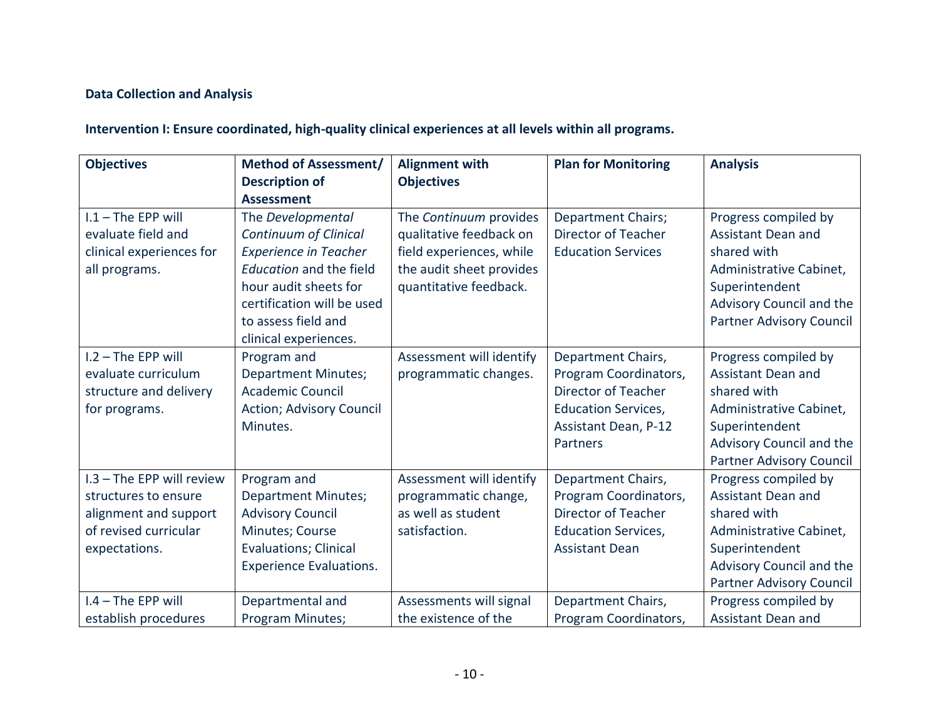## **Data Collection and Analysis**

## **Intervention I: Ensure coordinated, high-quality clinical experiences at all levels within all programs.**

| <b>Objectives</b>         | <b>Method of Assessment/</b>    | <b>Alignment with</b>    | <b>Plan for Monitoring</b>  | <b>Analysis</b>           |
|---------------------------|---------------------------------|--------------------------|-----------------------------|---------------------------|
|                           | <b>Description of</b>           | <b>Objectives</b>        |                             |                           |
|                           | <b>Assessment</b>               |                          |                             |                           |
| $1.1 -$ The EPP will      | The Developmental               | The Continuum provides   | Department Chairs;          | Progress compiled by      |
| evaluate field and        | <b>Continuum of Clinical</b>    | qualitative feedback on  | Director of Teacher         | Assistant Dean and        |
| clinical experiences for  | <b>Experience in Teacher</b>    | field experiences, while | <b>Education Services</b>   | shared with               |
| all programs.             | Education and the field         | the audit sheet provides |                             | Administrative Cabinet,   |
|                           | hour audit sheets for           | quantitative feedback.   |                             | Superintendent            |
|                           | certification will be used      |                          |                             | Advisory Council and the  |
|                           | to assess field and             |                          |                             | Partner Advisory Council  |
|                           | clinical experiences.           |                          |                             |                           |
| I.2 - The EPP will        | Program and                     | Assessment will identify | Department Chairs,          | Progress compiled by      |
| evaluate curriculum       | <b>Department Minutes;</b>      | programmatic changes.    | Program Coordinators,       | <b>Assistant Dean and</b> |
| structure and delivery    | <b>Academic Council</b>         |                          | Director of Teacher         | shared with               |
| for programs.             | <b>Action; Advisory Council</b> |                          | <b>Education Services,</b>  | Administrative Cabinet,   |
|                           | Minutes.                        |                          | <b>Assistant Dean, P-12</b> | Superintendent            |
|                           |                                 |                          | Partners                    | Advisory Council and the  |
|                           |                                 |                          |                             | Partner Advisory Council  |
| I.3 - The EPP will review | Program and                     | Assessment will identify | Department Chairs,          | Progress compiled by      |
| structures to ensure      | <b>Department Minutes;</b>      | programmatic change,     | Program Coordinators,       | <b>Assistant Dean and</b> |
| alignment and support     | <b>Advisory Council</b>         | as well as student       | <b>Director of Teacher</b>  | shared with               |
| of revised curricular     | Minutes; Course                 | satisfaction.            | <b>Education Services,</b>  | Administrative Cabinet,   |
| expectations.             | <b>Evaluations; Clinical</b>    |                          | <b>Assistant Dean</b>       | Superintendent            |
|                           | <b>Experience Evaluations.</b>  |                          |                             | Advisory Council and the  |
|                           |                                 |                          |                             | Partner Advisory Council  |
| I.4 - The EPP will        | Departmental and                | Assessments will signal  | Department Chairs,          | Progress compiled by      |
| establish procedures      | Program Minutes;                | the existence of the     | Program Coordinators,       | <b>Assistant Dean and</b> |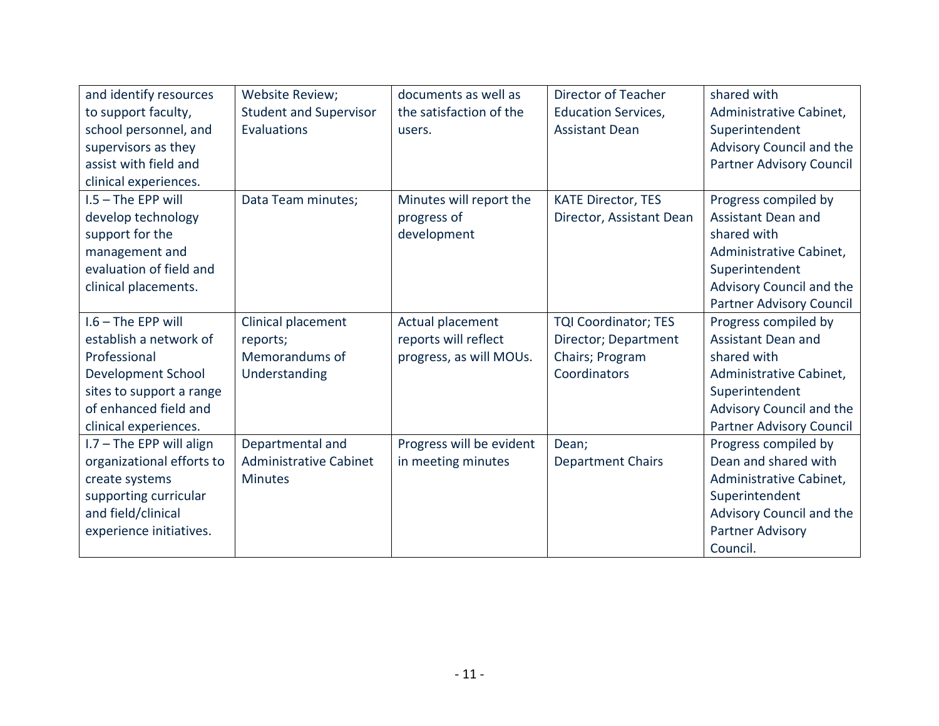| and identify resources     | Website Review;               | documents as well as     | Director of Teacher         | shared with              |
|----------------------------|-------------------------------|--------------------------|-----------------------------|--------------------------|
| to support faculty,        | <b>Student and Supervisor</b> | the satisfaction of the  | <b>Education Services,</b>  | Administrative Cabinet,  |
| school personnel, and      | Evaluations                   | users.                   | <b>Assistant Dean</b>       | Superintendent           |
| supervisors as they        |                               |                          |                             | Advisory Council and the |
| assist with field and      |                               |                          |                             | Partner Advisory Council |
| clinical experiences.      |                               |                          |                             |                          |
| $1.5$ – The EPP will       | Data Team minutes;            | Minutes will report the  | <b>KATE Director, TES</b>   | Progress compiled by     |
| develop technology         |                               | progress of              | Director, Assistant Dean    | Assistant Dean and       |
| support for the            |                               | development              |                             | shared with              |
| management and             |                               |                          |                             | Administrative Cabinet,  |
| evaluation of field and    |                               |                          |                             | Superintendent           |
| clinical placements.       |                               |                          |                             | Advisory Council and the |
|                            |                               |                          |                             | Partner Advisory Council |
| $1.6$ – The EPP will       | Clinical placement            | Actual placement         | <b>TQI Coordinator; TES</b> | Progress compiled by     |
| establish a network of     | reports;                      | reports will reflect     | Director; Department        | Assistant Dean and       |
| Professional               | Memorandums of                | progress, as will MOUs.  | Chairs; Program             | shared with              |
| <b>Development School</b>  | Understanding                 |                          | Coordinators                | Administrative Cabinet,  |
| sites to support a range   |                               |                          |                             | Superintendent           |
| of enhanced field and      |                               |                          |                             | Advisory Council and the |
| clinical experiences.      |                               |                          |                             | Partner Advisory Council |
| $1.7 -$ The EPP will align | Departmental and              | Progress will be evident | Dean;                       | Progress compiled by     |
| organizational efforts to  | <b>Administrative Cabinet</b> | in meeting minutes       | <b>Department Chairs</b>    | Dean and shared with     |
| create systems             | <b>Minutes</b>                |                          |                             | Administrative Cabinet,  |
| supporting curricular      |                               |                          |                             | Superintendent           |
| and field/clinical         |                               |                          |                             | Advisory Council and the |
| experience initiatives.    |                               |                          |                             | Partner Advisory         |
|                            |                               |                          |                             | Council.                 |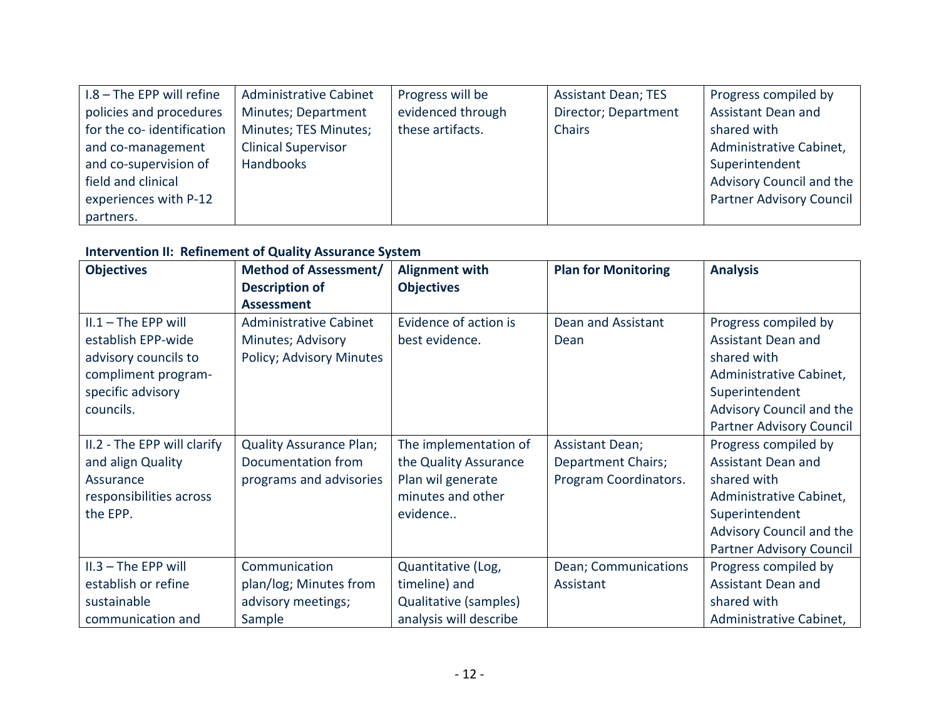| $1.8 -$ The EPP will refine | <b>Administrative Cabinet</b> | Progress will be  | <b>Assistant Dean; TES</b> | Progress compiled by            |
|-----------------------------|-------------------------------|-------------------|----------------------------|---------------------------------|
| policies and procedures     | Minutes; Department           | evidenced through | Director; Department       | Assistant Dean and              |
| for the co-identification   | Minutes; TES Minutes;         | these artifacts.  | <b>Chairs</b>              | shared with                     |
| and co-management           | <b>Clinical Supervisor</b>    |                   |                            | Administrative Cabinet,         |
| and co-supervision of       | <b>Handbooks</b>              |                   |                            | Superintendent                  |
| field and clinical          |                               |                   |                            | Advisory Council and the        |
| experiences with P-12       |                               |                   |                            | <b>Partner Advisory Council</b> |
| partners.                   |                               |                   |                            |                                 |

## **Intervention II: Refinement of Quality Assurance System**

| <b>Objectives</b>                                                                                                            | <b>Method of Assessment/</b>                                                    | <b>Alignment with</b>                                                                                | <b>Plan for Monitoring</b>                                            | <b>Analysis</b>                                                                                                                                                       |
|------------------------------------------------------------------------------------------------------------------------------|---------------------------------------------------------------------------------|------------------------------------------------------------------------------------------------------|-----------------------------------------------------------------------|-----------------------------------------------------------------------------------------------------------------------------------------------------------------------|
|                                                                                                                              | <b>Description of</b><br><b>Assessment</b>                                      | <b>Objectives</b>                                                                                    |                                                                       |                                                                                                                                                                       |
| $II.1 - The EPP will$<br>establish EPP-wide<br>advisory councils to<br>compliment program-<br>specific advisory<br>councils. | <b>Administrative Cabinet</b><br>Minutes; Advisory<br>Policy; Advisory Minutes  | Evidence of action is<br>best evidence.                                                              | Dean and Assistant<br>Dean                                            | Progress compiled by<br>Assistant Dean and<br>shared with<br>Administrative Cabinet,<br>Superintendent<br>Advisory Council and the<br>Partner Advisory Council        |
| II.2 - The EPP will clarify<br>and align Quality<br>Assurance<br>responsibilities across<br>the EPP.                         | <b>Quality Assurance Plan;</b><br>Documentation from<br>programs and advisories | The implementation of<br>the Quality Assurance<br>Plan wil generate<br>minutes and other<br>evidence | <b>Assistant Dean;</b><br>Department Chairs;<br>Program Coordinators. | Progress compiled by<br>Assistant Dean and<br>shared with<br>Administrative Cabinet,<br>Superintendent<br>Advisory Council and the<br><b>Partner Advisory Council</b> |
| II.3 - The EPP will<br>establish or refine<br>sustainable<br>communication and                                               | Communication<br>plan/log; Minutes from<br>advisory meetings;<br>Sample         | Quantitative (Log,<br>timeline) and<br>Qualitative (samples)<br>analysis will describe               | Dean; Communications<br>Assistant                                     | Progress compiled by<br>Assistant Dean and<br>shared with<br>Administrative Cabinet,                                                                                  |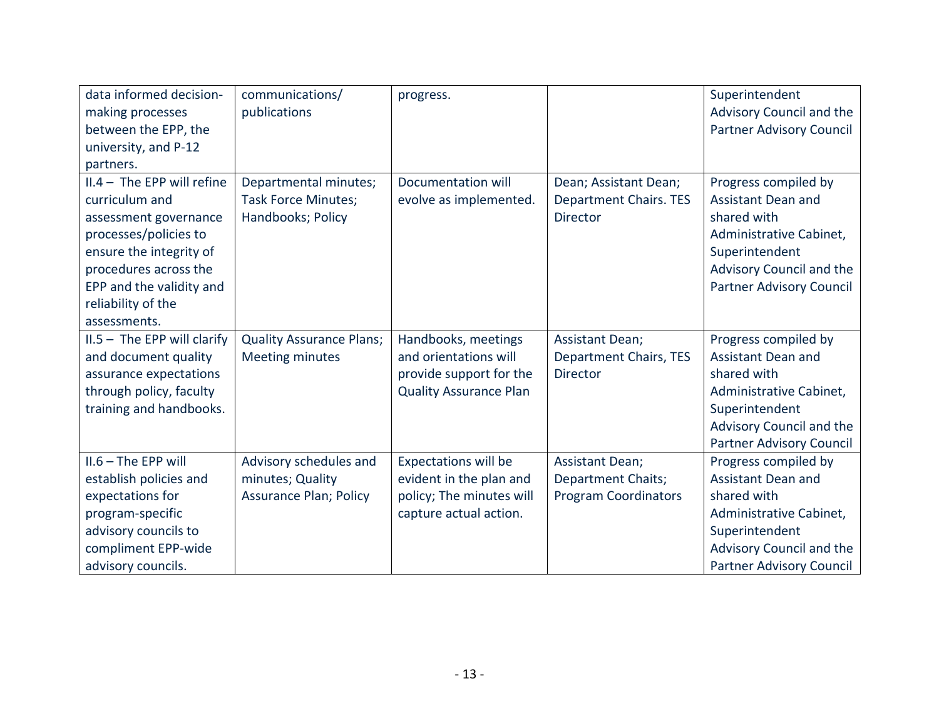| data informed decision-<br>making processes<br>between the EPP, the<br>university, and P-12                                                                                                                                         | communications/<br>publications                                             | progress.                                                                                                    |                                                                             | Superintendent<br>Advisory Council and the<br><b>Partner Advisory Council</b>                                                                                         |
|-------------------------------------------------------------------------------------------------------------------------------------------------------------------------------------------------------------------------------------|-----------------------------------------------------------------------------|--------------------------------------------------------------------------------------------------------------|-----------------------------------------------------------------------------|-----------------------------------------------------------------------------------------------------------------------------------------------------------------------|
| partners.<br>$II.4 - The EPP will refine$<br>curriculum and<br>assessment governance<br>processes/policies to<br>ensure the integrity of<br>procedures across the<br>EPP and the validity and<br>reliability of the<br>assessments. | Departmental minutes;<br><b>Task Force Minutes;</b><br>Handbooks; Policy    | Documentation will<br>evolve as implemented.                                                                 | Dean; Assistant Dean;<br><b>Department Chairs. TES</b><br><b>Director</b>   | Progress compiled by<br>Assistant Dean and<br>shared with<br>Administrative Cabinet,<br>Superintendent<br>Advisory Council and the<br><b>Partner Advisory Council</b> |
| $II.5 - The EPP will clarify$<br>and document quality<br>assurance expectations<br>through policy, faculty<br>training and handbooks.                                                                                               | <b>Quality Assurance Plans;</b><br><b>Meeting minutes</b>                   | Handbooks, meetings<br>and orientations will<br>provide support for the<br><b>Quality Assurance Plan</b>     | <b>Assistant Dean;</b><br><b>Department Chairs, TES</b><br><b>Director</b>  | Progress compiled by<br>Assistant Dean and<br>shared with<br>Administrative Cabinet,<br>Superintendent<br>Advisory Council and the<br><b>Partner Advisory Council</b> |
| $II.6 - The EPP will$<br>establish policies and<br>expectations for<br>program-specific<br>advisory councils to<br>compliment EPP-wide<br>advisory councils.                                                                        | Advisory schedules and<br>minutes; Quality<br><b>Assurance Plan; Policy</b> | <b>Expectations will be</b><br>evident in the plan and<br>policy; The minutes will<br>capture actual action. | <b>Assistant Dean;</b><br>Department Chaits;<br><b>Program Coordinators</b> | Progress compiled by<br>Assistant Dean and<br>shared with<br>Administrative Cabinet,<br>Superintendent<br>Advisory Council and the<br><b>Partner Advisory Council</b> |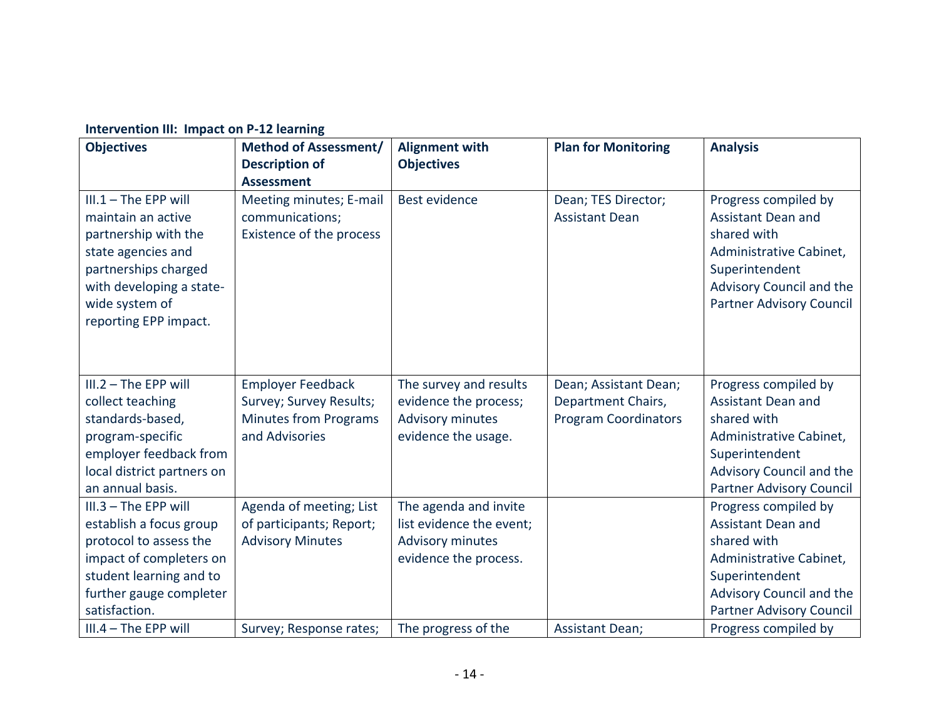| <b>Objectives</b>                                                                                                                                                                         | <b>Method of Assessment/</b><br><b>Description of</b>                                                 | <b>Alignment with</b><br><b>Objectives</b>                                                            | <b>Plan for Monitoring</b>                                                 | <b>Analysis</b>                                                                                                                                                       |
|-------------------------------------------------------------------------------------------------------------------------------------------------------------------------------------------|-------------------------------------------------------------------------------------------------------|-------------------------------------------------------------------------------------------------------|----------------------------------------------------------------------------|-----------------------------------------------------------------------------------------------------------------------------------------------------------------------|
| $III.1 - The EPP will$<br>maintain an active<br>partnership with the<br>state agencies and<br>partnerships charged<br>with developing a state-<br>wide system of<br>reporting EPP impact. | <b>Assessment</b><br>Meeting minutes; E-mail<br>communications;<br>Existence of the process           | Best evidence                                                                                         | Dean; TES Director;<br><b>Assistant Dean</b>                               | Progress compiled by<br>Assistant Dean and<br>shared with<br>Administrative Cabinet,<br>Superintendent<br>Advisory Council and the<br><b>Partner Advisory Council</b> |
| $III.2 - The EPP will$<br>collect teaching<br>standards-based,<br>program-specific<br>employer feedback from<br>local district partners on<br>an annual basis.                            | <b>Employer Feedback</b><br>Survey; Survey Results;<br><b>Minutes from Programs</b><br>and Advisories | The survey and results<br>evidence the process;<br><b>Advisory minutes</b><br>evidence the usage.     | Dean; Assistant Dean;<br>Department Chairs,<br><b>Program Coordinators</b> | Progress compiled by<br>Assistant Dean and<br>shared with<br>Administrative Cabinet,<br>Superintendent<br>Advisory Council and the<br><b>Partner Advisory Council</b> |
| III.3 - The EPP will<br>establish a focus group<br>protocol to assess the<br>impact of completers on<br>student learning and to<br>further gauge completer<br>satisfaction.               | Agenda of meeting; List<br>of participants; Report;<br><b>Advisory Minutes</b>                        | The agenda and invite<br>list evidence the event;<br><b>Advisory minutes</b><br>evidence the process. |                                                                            | Progress compiled by<br>Assistant Dean and<br>shared with<br>Administrative Cabinet,<br>Superintendent<br>Advisory Council and the<br><b>Partner Advisory Council</b> |
| $III.4 - The EPP will$                                                                                                                                                                    | Survey; Response rates;                                                                               | The progress of the                                                                                   | <b>Assistant Dean;</b>                                                     | Progress compiled by                                                                                                                                                  |

### **Intervention III: Impact on P-12 learning**